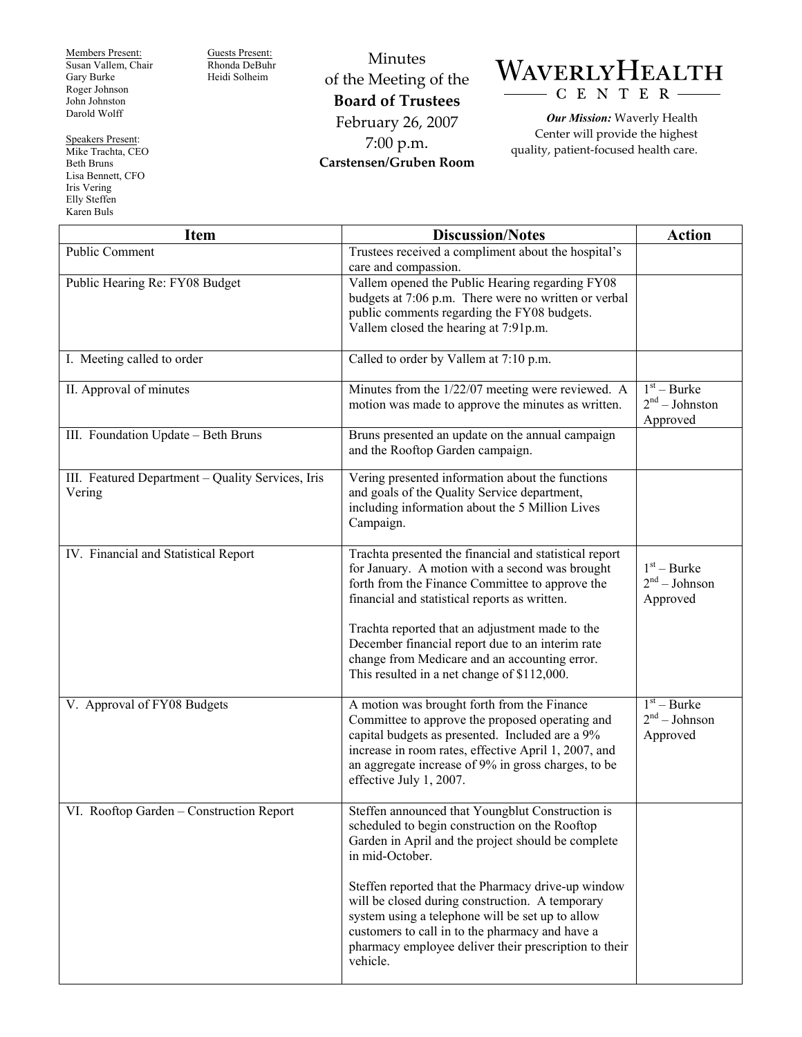Members Present: Susan Vallem, Chair Gary Burke Roger Johnson John Johnston Darold Wolff

Iris Vering Elly Steffen Karen Buls

Speakers Present: Mike Trachta, CEO Beth Bruns Lisa Bennett, CFO

Guests Present: Rhonda DeBuhr Heidi Solheim

Minutes of the Meeting of the **Board of Trustees**  February 26, 2007 7:00 p.m. **Carstensen/Gruben Room** 

## WAVERLYHEALTH CENTER

*Our Mission:* Waverly Health Center will provide the highest quality, patient-focused health care.

| <b>Item</b>                                       | <b>Discussion/Notes</b>                                                                                     | <b>Action</b>    |
|---------------------------------------------------|-------------------------------------------------------------------------------------------------------------|------------------|
| Public Comment                                    | Trustees received a compliment about the hospital's                                                         |                  |
|                                                   | care and compassion.                                                                                        |                  |
| Public Hearing Re: FY08 Budget                    | Vallem opened the Public Hearing regarding FY08<br>budgets at 7:06 p.m. There were no written or verbal     |                  |
|                                                   | public comments regarding the FY08 budgets.                                                                 |                  |
|                                                   | Vallem closed the hearing at 7:91p.m.                                                                       |                  |
|                                                   |                                                                                                             |                  |
| I. Meeting called to order                        | Called to order by Vallem at 7:10 p.m.                                                                      |                  |
| II. Approval of minutes                           | Minutes from the 1/22/07 meeting were reviewed. A                                                           | $1st - Burke$    |
|                                                   | motion was made to approve the minutes as written.                                                          | $2nd - Johnston$ |
|                                                   |                                                                                                             | Approved         |
| III. Foundation Update - Beth Bruns               | Bruns presented an update on the annual campaign                                                            |                  |
|                                                   | and the Rooftop Garden campaign.                                                                            |                  |
| III. Featured Department - Quality Services, Iris | Vering presented information about the functions                                                            |                  |
| Vering                                            | and goals of the Quality Service department,                                                                |                  |
|                                                   | including information about the 5 Million Lives                                                             |                  |
|                                                   | Campaign.                                                                                                   |                  |
| IV. Financial and Statistical Report              | Trachta presented the financial and statistical report                                                      |                  |
|                                                   | for January. A motion with a second was brought                                                             | $1st - Burke$    |
|                                                   | forth from the Finance Committee to approve the                                                             | $2nd - Johnson$  |
|                                                   | financial and statistical reports as written.                                                               | Approved         |
|                                                   |                                                                                                             |                  |
|                                                   | Trachta reported that an adjustment made to the                                                             |                  |
|                                                   | December financial report due to an interim rate<br>change from Medicare and an accounting error.           |                  |
|                                                   | This resulted in a net change of \$112,000.                                                                 |                  |
|                                                   |                                                                                                             |                  |
| V. Approval of FY08 Budgets                       | A motion was brought forth from the Finance                                                                 | $1st - Burke$    |
|                                                   | Committee to approve the proposed operating and                                                             | $2nd - Johnson$  |
|                                                   | capital budgets as presented. Included are a 9%                                                             | Approved         |
|                                                   | increase in room rates, effective April 1, 2007, and<br>an aggregate increase of 9% in gross charges, to be |                  |
|                                                   | effective July 1, 2007.                                                                                     |                  |
|                                                   |                                                                                                             |                  |
| VI. Rooftop Garden - Construction Report          | Steffen announced that Youngblut Construction is                                                            |                  |
|                                                   | scheduled to begin construction on the Rooftop                                                              |                  |
|                                                   | Garden in April and the project should be complete                                                          |                  |
|                                                   | in mid-October.                                                                                             |                  |
|                                                   | Steffen reported that the Pharmacy drive-up window                                                          |                  |
|                                                   | will be closed during construction. A temporary                                                             |                  |
|                                                   | system using a telephone will be set up to allow                                                            |                  |
|                                                   | customers to call in to the pharmacy and have a                                                             |                  |
|                                                   | pharmacy employee deliver their prescription to their                                                       |                  |
|                                                   | vehicle.                                                                                                    |                  |
|                                                   |                                                                                                             |                  |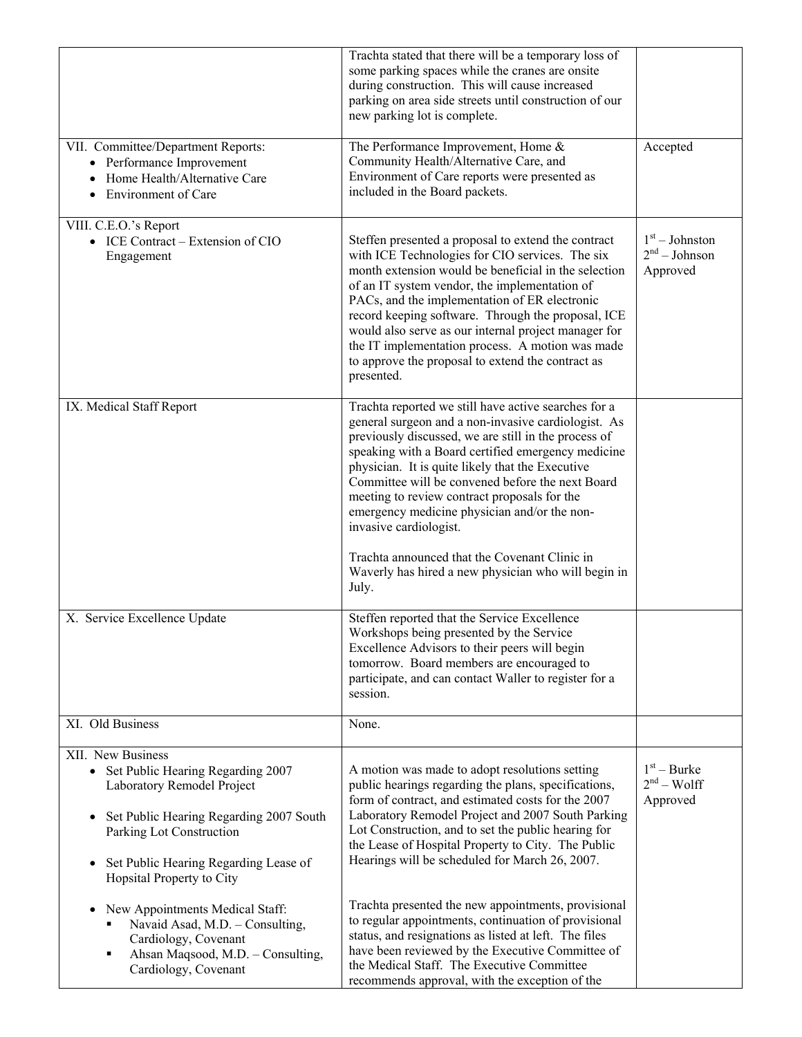|                                                                                                                                                                                                                                                     | Trachta stated that there will be a temporary loss of<br>some parking spaces while the cranes are onsite<br>during construction. This will cause increased<br>parking on area side streets until construction of our<br>new parking lot is complete.                                                                                                                                                                                                                                                         |                                                 |
|-----------------------------------------------------------------------------------------------------------------------------------------------------------------------------------------------------------------------------------------------------|--------------------------------------------------------------------------------------------------------------------------------------------------------------------------------------------------------------------------------------------------------------------------------------------------------------------------------------------------------------------------------------------------------------------------------------------------------------------------------------------------------------|-------------------------------------------------|
| VII. Committee/Department Reports:<br>• Performance Improvement<br>Home Health/Alternative Care<br>$\bullet$<br><b>Environment of Care</b><br>$\bullet$                                                                                             | The Performance Improvement, Home &<br>Community Health/Alternative Care, and<br>Environment of Care reports were presented as<br>included in the Board packets.                                                                                                                                                                                                                                                                                                                                             | Accepted                                        |
| VIII. C.E.O.'s Report<br>• ICE Contract – Extension of CIO<br>Engagement                                                                                                                                                                            | Steffen presented a proposal to extend the contract<br>with ICE Technologies for CIO services. The six<br>month extension would be beneficial in the selection<br>of an IT system vendor, the implementation of<br>PACs, and the implementation of ER electronic<br>record keeping software. Through the proposal, ICE<br>would also serve as our internal project manager for<br>the IT implementation process. A motion was made<br>to approve the proposal to extend the contract as<br>presented.        | $1st - Johnston$<br>$2nd - Johnson$<br>Approved |
| IX. Medical Staff Report                                                                                                                                                                                                                            | Trachta reported we still have active searches for a<br>general surgeon and a non-invasive cardiologist. As<br>previously discussed, we are still in the process of<br>speaking with a Board certified emergency medicine<br>physician. It is quite likely that the Executive<br>Committee will be convened before the next Board<br>meeting to review contract proposals for the<br>emergency medicine physician and/or the non-<br>invasive cardiologist.<br>Trachta announced that the Covenant Clinic in |                                                 |
|                                                                                                                                                                                                                                                     | Waverly has hired a new physician who will begin in<br>July.                                                                                                                                                                                                                                                                                                                                                                                                                                                 |                                                 |
| X. Service Excellence Update                                                                                                                                                                                                                        | Steffen reported that the Service Excellence<br>Workshops being presented by the Service<br>Excellence Advisors to their peers will begin<br>tomorrow. Board members are encouraged to<br>participate, and can contact Waller to register for a<br>session.                                                                                                                                                                                                                                                  |                                                 |
| XI. Old Business                                                                                                                                                                                                                                    | None.                                                                                                                                                                                                                                                                                                                                                                                                                                                                                                        |                                                 |
| XII. New Business<br>Set Public Hearing Regarding 2007<br>Laboratory Remodel Project<br>Set Public Hearing Regarding 2007 South<br>$\bullet$<br>Parking Lot Construction<br>Set Public Hearing Regarding Lease of<br>٠<br>Hopsital Property to City | A motion was made to adopt resolutions setting<br>public hearings regarding the plans, specifications,<br>form of contract, and estimated costs for the 2007<br>Laboratory Remodel Project and 2007 South Parking<br>Lot Construction, and to set the public hearing for<br>the Lease of Hospital Property to City. The Public<br>Hearings will be scheduled for March 26, 2007.                                                                                                                             | $1st - Burke$<br>$2nd - Wolf$<br>Approved       |
| New Appointments Medical Staff:<br>$\bullet$<br>Navaid Asad, M.D. - Consulting,<br>Cardiology, Covenant<br>Ahsan Maqsood, M.D. - Consulting,<br>٠<br>Cardiology, Covenant                                                                           | Trachta presented the new appointments, provisional<br>to regular appointments, continuation of provisional<br>status, and resignations as listed at left. The files<br>have been reviewed by the Executive Committee of<br>the Medical Staff. The Executive Committee<br>recommends approval, with the exception of the                                                                                                                                                                                     |                                                 |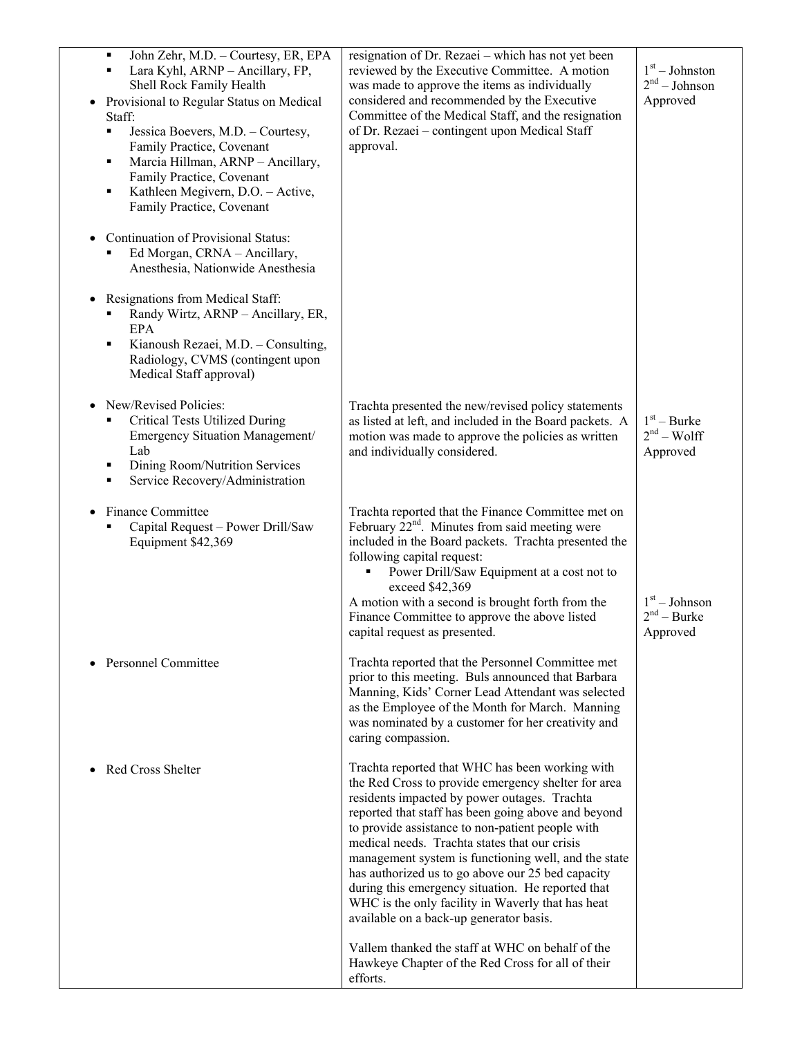| John Zehr, M.D. - Courtesy, ER, EPA<br>$\blacksquare$<br>Lara Kyhl, ARNP - Ancillary, FP,<br>Shell Rock Family Health<br>Provisional to Regular Status on Medical<br>Staff:<br>Jessica Boevers, M.D. - Courtesy,<br>٠<br>Family Practice, Covenant<br>Marcia Hillman, ARNP - Ancillary,<br>٠<br>Family Practice, Covenant<br>Kathleen Megivern, D.O. - Active,<br>٠<br>Family Practice, Covenant | resignation of Dr. Rezaei – which has not yet been<br>reviewed by the Executive Committee. A motion<br>was made to approve the items as individually<br>considered and recommended by the Executive<br>Committee of the Medical Staff, and the resignation<br>of Dr. Rezaei - contingent upon Medical Staff<br>approval.                                                                                                                                                                                                                                                             | $1st - Johnston$<br>2 <sup>nd</sup> – Johnson<br>Approved |
|--------------------------------------------------------------------------------------------------------------------------------------------------------------------------------------------------------------------------------------------------------------------------------------------------------------------------------------------------------------------------------------------------|--------------------------------------------------------------------------------------------------------------------------------------------------------------------------------------------------------------------------------------------------------------------------------------------------------------------------------------------------------------------------------------------------------------------------------------------------------------------------------------------------------------------------------------------------------------------------------------|-----------------------------------------------------------|
| <b>Continuation of Provisional Status:</b><br>Ed Morgan, CRNA - Ancillary,<br>Anesthesia, Nationwide Anesthesia                                                                                                                                                                                                                                                                                  |                                                                                                                                                                                                                                                                                                                                                                                                                                                                                                                                                                                      |                                                           |
| Resignations from Medical Staff:<br>Randy Wirtz, ARNP - Ancillary, ER,<br>EPA<br>Kianoush Rezaei, M.D. - Consulting,<br>п<br>Radiology, CVMS (contingent upon<br>Medical Staff approval)                                                                                                                                                                                                         |                                                                                                                                                                                                                                                                                                                                                                                                                                                                                                                                                                                      |                                                           |
| New/Revised Policies:<br><b>Critical Tests Utilized During</b><br>٠<br>Emergency Situation Management/<br>Lab<br>Dining Room/Nutrition Services<br>٠<br>Service Recovery/Administration<br>٠                                                                                                                                                                                                     | Trachta presented the new/revised policy statements<br>as listed at left, and included in the Board packets. A<br>motion was made to approve the policies as written<br>and individually considered.                                                                                                                                                                                                                                                                                                                                                                                 | $1st - Burke$<br>$2nd - Wolf$<br>Approved                 |
| <b>Finance Committee</b><br>Capital Request - Power Drill/Saw<br>Equipment \$42,369                                                                                                                                                                                                                                                                                                              | Trachta reported that the Finance Committee met on<br>February $22nd$ . Minutes from said meeting were<br>included in the Board packets. Trachta presented the<br>following capital request:<br>Power Drill/Saw Equipment at a cost not to<br>exceed \$42,369<br>A motion with a second is brought forth from the<br>Finance Committee to approve the above listed<br>capital request as presented.                                                                                                                                                                                  | $1st - Johnson$<br>$2nd - Burke$<br>Approved              |
| <b>Personnel Committee</b>                                                                                                                                                                                                                                                                                                                                                                       | Trachta reported that the Personnel Committee met<br>prior to this meeting. Buls announced that Barbara<br>Manning, Kids' Corner Lead Attendant was selected<br>as the Employee of the Month for March. Manning<br>was nominated by a customer for her creativity and<br>caring compassion.                                                                                                                                                                                                                                                                                          |                                                           |
| Red Cross Shelter                                                                                                                                                                                                                                                                                                                                                                                | Trachta reported that WHC has been working with<br>the Red Cross to provide emergency shelter for area<br>residents impacted by power outages. Trachta<br>reported that staff has been going above and beyond<br>to provide assistance to non-patient people with<br>medical needs. Trachta states that our crisis<br>management system is functioning well, and the state<br>has authorized us to go above our 25 bed capacity<br>during this emergency situation. He reported that<br>WHC is the only facility in Waverly that has heat<br>available on a back-up generator basis. |                                                           |
|                                                                                                                                                                                                                                                                                                                                                                                                  | Vallem thanked the staff at WHC on behalf of the<br>Hawkeye Chapter of the Red Cross for all of their<br>efforts.                                                                                                                                                                                                                                                                                                                                                                                                                                                                    |                                                           |